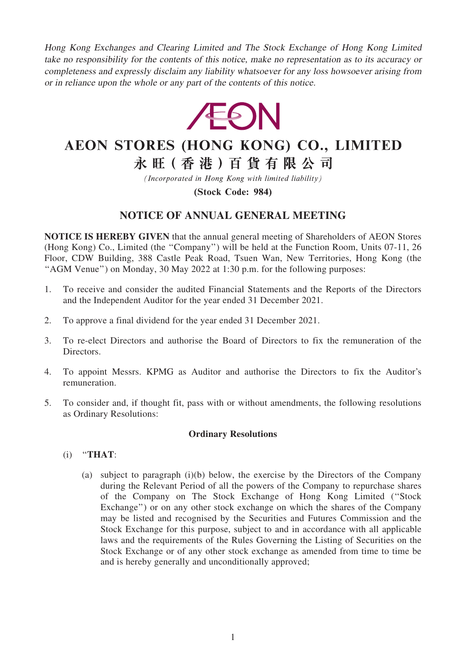Hong Kong Exchanges and Clearing Limited and The Stock Exchange of Hong Kong Limited take no responsibility for the contents of this notice, make no representation as to its accuracy or completeness and expressly disclaim any liability whatsoever for any loss howsoever arising from or in reliance upon the whole or any part of the contents of this notice.



# AEON STORES (HONG KONG) CO., LIMITED

永旺(香港)百貨有限公司

(Incorporated in Hong Kong with limited liability)

(Stock Code: 984)

## NOTICE OF ANNUAL GENERAL MEETING

NOTICE IS HEREBY GIVEN that the annual general meeting of Shareholders of AEON Stores (Hong Kong) Co., Limited (the ''Company'') will be held at the Function Room, Units 07-11, 26 Floor, CDW Building, 388 Castle Peak Road, Tsuen Wan, New Territories, Hong Kong (the ''AGM Venue'') on Monday, 30 May 2022 at 1:30 p.m. for the following purposes:

- 1. To receive and consider the audited Financial Statements and the Reports of the Directors and the Independent Auditor for the year ended 31 December 2021.
- 2. To approve a final dividend for the year ended 31 December 2021.
- 3. To re-elect Directors and authorise the Board of Directors to fix the remuneration of the Directors.
- 4. To appoint Messrs. KPMG as Auditor and authorise the Directors to fix the Auditor's remuneration.
- 5. To consider and, if thought fit, pass with or without amendments, the following resolutions as Ordinary Resolutions:

#### Ordinary Resolutions

- $(i)$  "THAT:
	- (a) subject to paragraph (i)(b) below, the exercise by the Directors of the Company during the Relevant Period of all the powers of the Company to repurchase shares of the Company on The Stock Exchange of Hong Kong Limited (''Stock Exchange") or on any other stock exchange on which the shares of the Company may be listed and recognised by the Securities and Futures Commission and the Stock Exchange for this purpose, subject to and in accordance with all applicable laws and the requirements of the Rules Governing the Listing of Securities on the Stock Exchange or of any other stock exchange as amended from time to time be and is hereby generally and unconditionally approved;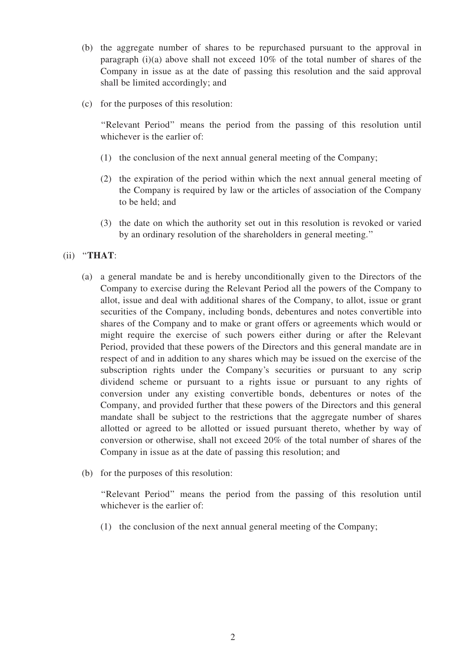- (b) the aggregate number of shares to be repurchased pursuant to the approval in paragraph (i)(a) above shall not exceed 10% of the total number of shares of the Company in issue as at the date of passing this resolution and the said approval shall be limited accordingly; and
- (c) for the purposes of this resolution:

''Relevant Period'' means the period from the passing of this resolution until whichever is the earlier of:

- (1) the conclusion of the next annual general meeting of the Company;
- (2) the expiration of the period within which the next annual general meeting of the Company is required by law or the articles of association of the Company to be held; and
- (3) the date on which the authority set out in this resolution is revoked or varied by an ordinary resolution of the shareholders in general meeting.''

### (ii) ''THAT:

- (a) a general mandate be and is hereby unconditionally given to the Directors of the Company to exercise during the Relevant Period all the powers of the Company to allot, issue and deal with additional shares of the Company, to allot, issue or grant securities of the Company, including bonds, debentures and notes convertible into shares of the Company and to make or grant offers or agreements which would or might require the exercise of such powers either during or after the Relevant Period, provided that these powers of the Directors and this general mandate are in respect of and in addition to any shares which may be issued on the exercise of the subscription rights under the Company's securities or pursuant to any scrip dividend scheme or pursuant to a rights issue or pursuant to any rights of conversion under any existing convertible bonds, debentures or notes of the Company, and provided further that these powers of the Directors and this general mandate shall be subject to the restrictions that the aggregate number of shares allotted or agreed to be allotted or issued pursuant thereto, whether by way of conversion or otherwise, shall not exceed 20% of the total number of shares of the Company in issue as at the date of passing this resolution; and
- (b) for the purposes of this resolution:

''Relevant Period'' means the period from the passing of this resolution until whichever is the earlier of:

(1) the conclusion of the next annual general meeting of the Company;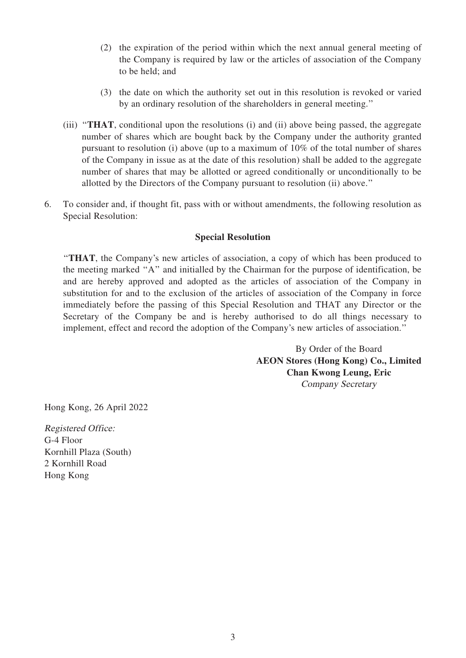- (2) the expiration of the period within which the next annual general meeting of the Company is required by law or the articles of association of the Company to be held; and
- (3) the date on which the authority set out in this resolution is revoked or varied by an ordinary resolution of the shareholders in general meeting.''
- (iii) ''THAT, conditional upon the resolutions (i) and (ii) above being passed, the aggregate number of shares which are bought back by the Company under the authority granted pursuant to resolution (i) above (up to a maximum of 10% of the total number of shares of the Company in issue as at the date of this resolution) shall be added to the aggregate number of shares that may be allotted or agreed conditionally or unconditionally to be allotted by the Directors of the Company pursuant to resolution (ii) above.''
- 6. To consider and, if thought fit, pass with or without amendments, the following resolution as Special Resolution:

## Special Resolution

''THAT, the Company's new articles of association, a copy of which has been produced to the meeting marked ''A'' and initialled by the Chairman for the purpose of identification, be and are hereby approved and adopted as the articles of association of the Company in substitution for and to the exclusion of the articles of association of the Company in force immediately before the passing of this Special Resolution and THAT any Director or the Secretary of the Company be and is hereby authorised to do all things necessary to implement, effect and record the adoption of the Company's new articles of association.''

> By Order of the Board AEON Stores (Hong Kong) Co., Limited Chan Kwong Leung, Eric Company Secretary

Hong Kong, 26 April 2022

Registered Office: G-4 Floor Kornhill Plaza (South) 2 Kornhill Road Hong Kong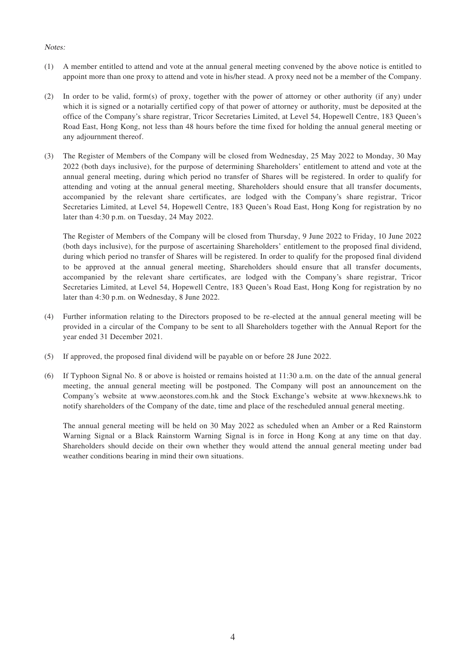#### Notes:

- (1) A member entitled to attend and vote at the annual general meeting convened by the above notice is entitled to appoint more than one proxy to attend and vote in his/her stead. A proxy need not be a member of the Company.
- (2) In order to be valid, form(s) of proxy, together with the power of attorney or other authority (if any) under which it is signed or a notarially certified copy of that power of attorney or authority, must be deposited at the office of the Company's share registrar, Tricor Secretaries Limited, at Level 54, Hopewell Centre, 183 Queen's Road East, Hong Kong, not less than 48 hours before the time fixed for holding the annual general meeting or any adjournment thereof.
- (3) The Register of Members of the Company will be closed from Wednesday, 25 May 2022 to Monday, 30 May 2022 (both days inclusive), for the purpose of determining Shareholders' entitlement to attend and vote at the annual general meeting, during which period no transfer of Shares will be registered. In order to qualify for attending and voting at the annual general meeting, Shareholders should ensure that all transfer documents, accompanied by the relevant share certificates, are lodged with the Company's share registrar, Tricor Secretaries Limited, at Level 54, Hopewell Centre, 183 Queen's Road East, Hong Kong for registration by no later than 4:30 p.m. on Tuesday, 24 May 2022.

The Register of Members of the Company will be closed from Thursday, 9 June 2022 to Friday, 10 June 2022 (both days inclusive), for the purpose of ascertaining Shareholders' entitlement to the proposed final dividend, during which period no transfer of Shares will be registered. In order to qualify for the proposed final dividend to be approved at the annual general meeting, Shareholders should ensure that all transfer documents, accompanied by the relevant share certificates, are lodged with the Company's share registrar, Tricor Secretaries Limited, at Level 54, Hopewell Centre, 183 Queen's Road East, Hong Kong for registration by no later than 4:30 p.m. on Wednesday, 8 June 2022.

- (4) Further information relating to the Directors proposed to be re-elected at the annual general meeting will be provided in a circular of the Company to be sent to all Shareholders together with the Annual Report for the year ended 31 December 2021.
- (5) If approved, the proposed final dividend will be payable on or before 28 June 2022.
- (6) If Typhoon Signal No. 8 or above is hoisted or remains hoisted at 11:30 a.m. on the date of the annual general meeting, the annual general meeting will be postponed. The Company will post an announcement on the Company's website at www.aeonstores.com.hk and the Stock Exchange's website at www.hkexnews.hk to notify shareholders of the Company of the date, time and place of the rescheduled annual general meeting.

The annual general meeting will be held on 30 May 2022 as scheduled when an Amber or a Red Rainstorm Warning Signal or a Black Rainstorm Warning Signal is in force in Hong Kong at any time on that day. Shareholders should decide on their own whether they would attend the annual general meeting under bad weather conditions bearing in mind their own situations.